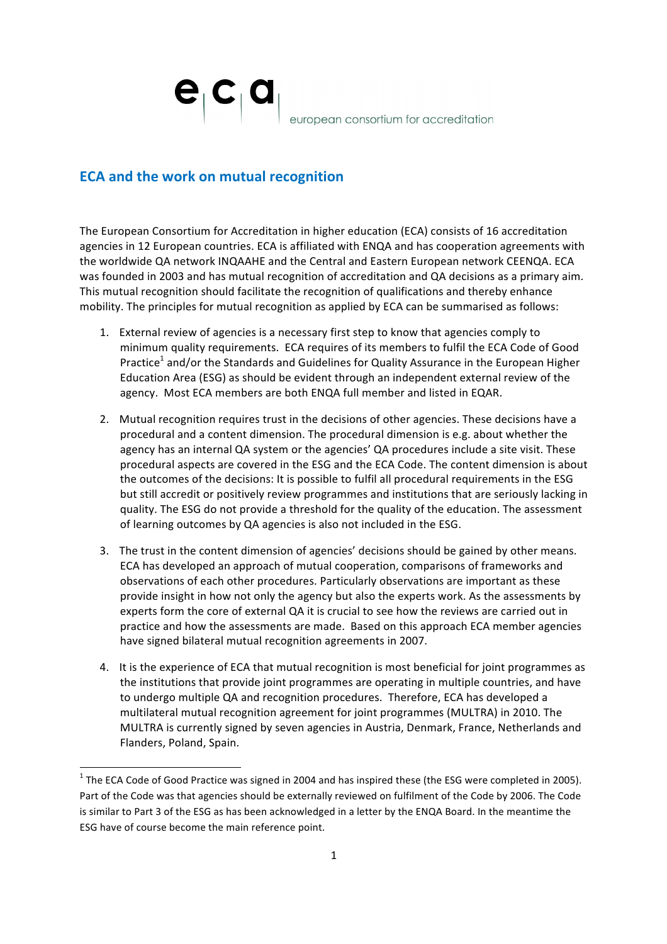$e_{\vert}c_{\vert}$ a european consortium for accreditation

## **ECA** and the work on mutual recognition

<u> 1989 - Jan Samuel Barbara, margaret e</u>

The European Consortium for Accreditation in higher education (ECA) consists of 16 accreditation agencies in 12 European countries. ECA is affiliated with ENQA and has cooperation agreements with the worldwide QA network INQAAHE and the Central and Eastern European network CEENQA. ECA was founded in 2003 and has mutual recognition of accreditation and QA decisions as a primary aim. This mutual recognition should facilitate the recognition of qualifications and thereby enhance mobility. The principles for mutual recognition as applied by ECA can be summarised as follows:

- 1. External review of agencies is a necessary first step to know that agencies comply to minimum quality requirements. ECA requires of its members to fulfil the ECA Code of Good Practice<sup>1</sup> and/or the Standards and Guidelines for Quality Assurance in the European Higher Education Area (ESG) as should be evident through an independent external review of the agency. Most ECA members are both ENQA full member and listed in EQAR.
- 2. Mutual recognition requires trust in the decisions of other agencies. These decisions have a procedural and a content dimension. The procedural dimension is e.g. about whether the agency has an internal QA system or the agencies' QA procedures include a site visit. These procedural aspects are covered in the ESG and the ECA Code. The content dimension is about the outcomes of the decisions: It is possible to fulfil all procedural requirements in the ESG but still accredit or positively review programmes and institutions that are seriously lacking in quality. The ESG do not provide a threshold for the quality of the education. The assessment of learning outcomes by QA agencies is also not included in the ESG.
- 3. The trust in the content dimension of agencies' decisions should be gained by other means. ECA has developed an approach of mutual cooperation, comparisons of frameworks and observations of each other procedures. Particularly observations are important as these provide insight in how not only the agency but also the experts work. As the assessments by experts form the core of external QA it is crucial to see how the reviews are carried out in practice and how the assessments are made. Based on this approach ECA member agencies have signed bilateral mutual recognition agreements in 2007.
- 4. It is the experience of ECA that mutual recognition is most beneficial for joint programmes as the institutions that provide ioint programmes are operating in multiple countries, and have to undergo multiple QA and recognition procedures. Therefore, ECA has developed a multilateral mutual recognition agreement for joint programmes (MULTRA) in 2010. The MULTRA is currently signed by seven agencies in Austria, Denmark, France, Netherlands and Flanders, Poland, Spain.

 $1$  The ECA Code of Good Practice was signed in 2004 and has inspired these (the ESG were completed in 2005). Part of the Code was that agencies should be externally reviewed on fulfilment of the Code by 2006. The Code is similar to Part 3 of the ESG as has been acknowledged in a letter by the ENQA Board. In the meantime the ESG have of course become the main reference point.